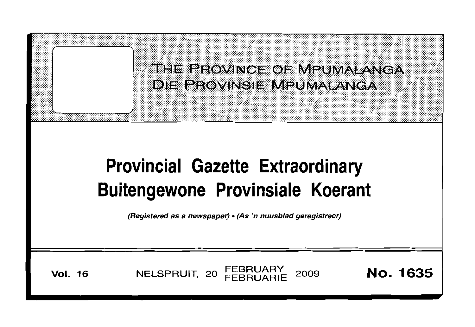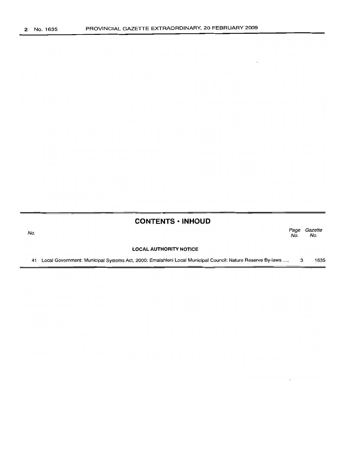No.

|  | <b>CONTENTS · INHOUD</b> |
|--|--------------------------|

*Page Gazette* No. No.

**LOCAL AUTHORITY NOTICE**

41 Local Government: Municipal Systems Act, 2000: Emalahleni Local Municipal Council: Nature Reserve By-laws ..... 3 1635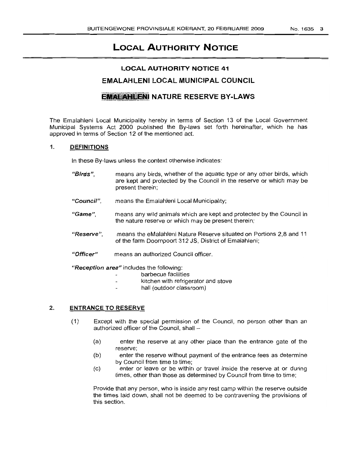# **LOCAL AUTHORITY NOTICE**

# **LOCAL AUTHORITY NOTICE 41**

# **EMALAHLENI LOCAL MUNICIPAL COUNCIL**

# **EMALAHLENI NATURE RESERVE BY-LAWS**

The Emalahleni Local Municipality hereby in terms of Section 13 of the Local Government Municipal Systems Act 2000 published the By-laws set forth hereinafter, which he has approved in terms of Section 12 of the mentioned act.

#### 1. **DIEFINITIONS**

In these By-laws unless the context otherwise indicates:

- "Birds", means any birds, whether of the aquatic type or any other birds, which are kept and protected by the Council in the reserve or which may be present therein;
- "Council", means the Emalahleni Local Municipality;
- *"Game",* means any wild animals which are kept and protected by the Council in the nature reserve or which may be present therein;
- *"Reserve",* means the eMalahleni Nature Reserve situated on Portions 2,8 and 11 of the farm Doornpoort 312 JS, District of Emalahleni;
- "'Officer" means an authorized Council officer.

*"Reception area"* includes the following:

- barbecue facilities
- kitchen with refrigerator and stove
- hall (outdoor classroom)

#### 2. **ENTRANCE TO RESERVE**

- (1) Except with the special permission of the Council, no person other than an authorized officer of the Council, shall  $-$ 
	- (a) enter the reserve at any other place than the entrance gate of the reserve;
	- (b) enter the reserve without payment of the entrance fees as determine by Council from time to time;
	- (c) enter or leave or be within or travel inside the reserve at or during times, other than those as determined by Council from time to time;

Provide that any person, who is inside any rest camp within the reserve outside the times laid down, shall not be deemed to be contravening the provisions of this section.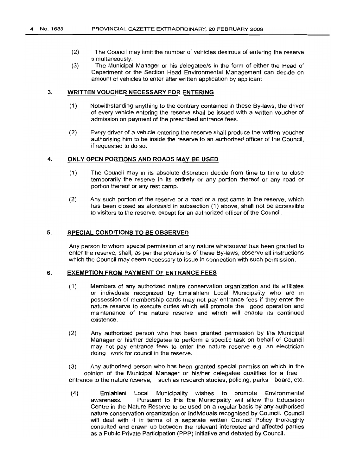- (2) The Council may limit the number of vehicles desirous of entering the reserve simultaneously.
- (3) The Municipal Manager or his delegatee/s in the form of either the Head of Department or the Section Head Environmental Management can decide on amount of vehicles to enter after written application by applicant

#### 3. **WRITTEN VOUCHER NECESSARY FOR ENTERING**

- (1) Notwithstanding anything to the contrary contained in these By-laws, the driver of every vehicle entering the reserve shall be issued with a written voucher of admission on payment of the prescribed entrance fees.
- (2) Every driver of a vehicle entering the reserve shall produce the written voucher authorising him to be inside the reserve to an authorized officer of the Council, if requested to do so.

#### 4. **ONLY OPEN PORTIONS AND ROADS MAY BE USED**

- (1) The Council may in its absolute discretion decide from time to time to close temporarily the reserve in its entirety or any portion thereof or any road or portion thereof or any rest camp.
- (2) Any such portion of the reserve or a road or a rest camp in the reserve, which has been closed as aforesaid in subsection (1) above, shall not be accessible to visitors to the reserve, except for an authorized officer of the Council.

## 5. **SPECIAL CONDITIONS TO BE OBSERVED**

Any person to whom special permission of any nature whatsoever has been granted to enter the reserve, shall, as per the provisions of these By-laws, observe all instructions which the Council may deem necessary to issue in connection with such permission.

#### 6. **EXEMPTION FROM PAYMENT OF ENTRANCE FEES**

- (1) Members of any authorized nature conservation organization and its affiliates or individuals recognized by Emalahleni Local Municipality who are in possession of membership cards may not pay entrance fees if they enter the nature reserve to execute duties which will promote the good operation and maintenance of the nature reserve and which will enable its continued existence.
- (2) Any authorized person who has been granted permission by the Municipal Manager or his/her delegatee to perform a specific task on behalf of Council may not pay entrance fees to enter the nature reserve e.g. an electrician doing work for council in the reserve.

(3) Any authorized person who has been granted special permission which in the opinion of the Municipal Manager or his/her delegatee qualifies for a free entrance to the nature reserve, such as research studies, policing, parks board, etc.

(4) Emlahleni Local Municipality wishes to promote Environmental awareness. Pursuant to this the Municipality will allow the Education Centre in the Nature Reserve to be used on a regular basis by any authorised nature conservation organization or individuals recognised by Council. Council will deal with it in terms of a separate written Council Policy thoroughly consulted and drawn up between the relevant interested and affected parties as a Public Private Participation (PPP) initiative and debated by Council.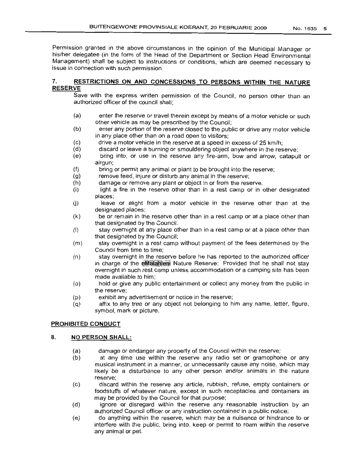Permission granted in the above circumstances in the opinion of the Municipal Manager or his/her delegatee (in the form of the Head of the Department or Section Head Environmental Management) shall be subject to instructions or conditions, which are deemed necessary to issue in connection with such permission.

# 7. **RESTRICTIONS ON AND CONCESSIONS TO PERSONS WITHIN THE NATURE RESERVE**

Save with the express written permission of the Council, no person other than an authorized officer of the council shall;

- (a) enter the reserve or travel therein except by means of a motor vehicle or such other vehicle as may be prescribed by the Council;
- (b) enter any portion of the reserve closed to the public or drive any motor vehicle in any place other than on a road open to visitors;
- $(c)$ drive a motor vehicle in the reserve at a speed in excess of 25 km/h;
- (d) discard or leave a burning or smouldering object anywhere in the reserve;
- (e) bring into, or use in the reserve any fire-arm, bow and arrow, catapult or airgun;
- (f) bring or permit any animal or plant to be brought into the reserve;
- (g) remove feed, injure or disturb any animal in the reserve;
- (h) damage or remove any plant or object in or from the reserve.
- (i) light a fire in the reserve other than in a rest camp or in other designated places;
- $(i)$ leave or alight from a motor vehicle in the reserve other than at the designated places;
- (k) be or remain in the reserve other than in a rest camp or at a place other than that designated by the Council.
- (I) stay overnight at any place other than in a rest camp or at a place other than that designated by the Council;
- (m) stay overnight in a rest camp without payment of the fees determined by the Council from time to time;
- (n) stay overnight in the reserve before he has reported to the authorized officer in charge of the eMalatileni Nature Reserve: Provided that he shall not stay overnight in such rest camp unless accommodation or a camping site has been made available to him;
- (0) hold or give any public entertainment or collect any money from the public in the reserve;
- (p) exhibit any advertisement or notice in the reserve;
- (q) affix to any tree or any object not belonging to him any name, letter, figure, symbol, mark or picture.

# **PROHIBITED CONDUCT**

# 8. **NO PERSON SHALL:**

- (a) damage or endanger any property of the Council within the reserve;
- (b) at any time use within the reserve any radio set or gramophone or any musical instrument in a manner, or unnecessarily cause any noise, which may likely be a disturbance to any other person and/or animals in the nature reserve;
- (c) discard within the reserve any article, rubbish, refuse, empty containers or foodstuffs of whatever nature, except in such receptacles and containers as may be provided by the Council for that purpose;
- (d) ignore or disregard within the reserve any reasonable instruction by an authorized Council officer or any instruction contained in a public notice;
- (e) do anything within the reserve, which may be a nuisance or hindrance to or interfere with the public, bring into, keep or permit to roam within the reserve any animal or pet.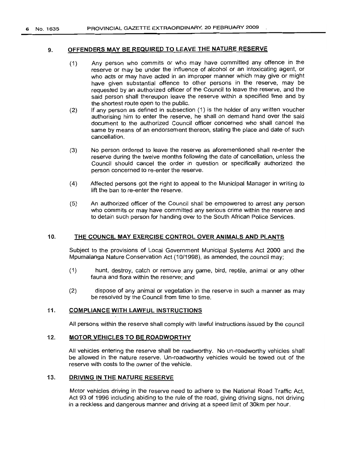# 9. **OFFENDERS MAY BE REQUIRED TO LEAVE THE NATURE RESERVE**

- (1) Any person who commits or who may have committed any offence in the reserve or may be under the influence of alcohol or an intoxicating agent, or who acts or may have acted in an improper manner which may give or might have given substantial offence to other persons in the reserve, may be requested by an authorized officer of the Council to leave the reserve, and the said person shall thereupon leave the reserve within a specified time and by the shortest route open to the public.
- (2) If any person as defined in subsection (1) is the holder of any written voucher authorising him to enter the reserve, he shall on demand hand over the said document to the authorized Council officer concerned who shall cancel the same by means of an endorsement thereon, stating the place and date of such cancellation.
- (3) No person ordered to leave the reserve as aforementioned shall re-enter the reserve during the twelve months following the date of cancellation, unless the Council should cancel the order in question or specifically authorized the person concerned to re-enter the reserve.
- (4) Affected persons got the right to appeal to the Municipal Manager in writing to lift the ban to re-enter the reserve.
- (5) An authorized officer of the Council shall be empowered to arrest any person who commits or may have committed any serious crime within the reserve and to detain such person for handing over to the South African Police Services.

#### 10. **THE COUNCIL MAY EXERCISE CONTROL OVER ANIMALS AND PLANTS**

Subject to the provisions of Local Government Municipal Systems Act 2000 and the Mpumalanga Nature Conservation Act (10/1998), as amended, the council may;

- (1) hunt, destroy, catch or remove any game, bird, reptile, animal or any other fauna and flora within the reserve; and
- (2) dispose of any animal or vegetation in the reserve in such a manner as may be resolved by the Council from time to time.

# 11. **COMPLIANCE WITH LAWFUL INSTRUCTIONS**

All persons within the reserve shall comply with lawful instructions issued by the council

#### 12. **MOTOR VEHICLES TO BE ROADWORTHY**

All vehicles entering the reserve shall be roadworthy. No un-roadworthy vehicles shall be allowed in the nature reserve. Un-roadworthy vehicles would be towed out of the reserve with costs to the owner of the vehicle.

## 13. **DRIVING IN THE NATURE RESERVE**

Motor vehicles driving in the reserve need to adhere to the National Road Traffic Act, Act 93 of 1996 including abiding to the rule of the road, giving driving signs, not driving in a reckless and dangerous manner and driving at a speed limit of 30km per hour.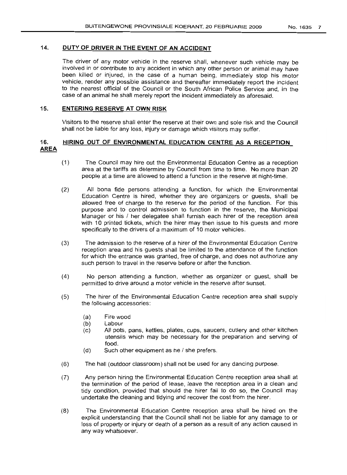# 14. **DUTY OF DRIVER IN THE EVENT OF AN ACCIDENT**

The driver of any motor vehicle in the reserve shall, whenever such vehicle may be involved in or contribute to any accident in which any other person or animal may have been killed or injured, in the case of a human being, immediately stop his motor vehicle, render any possible assistance and thereafter immediately report the incident to the nearest official of the Council or the South African Police Service and, in the case of an animal he shall merely report the incident immediately as aforesaid.

## 15. **ENTERING RESERVE AT OWN RISK**

Visitors to the reserve shall enter the reserve at their own and sole risk and the Council shall not be liable for any loss, injury or damage which visitors may suffer.

# 16. **HIRING OUT OF ENVIRONMENTAL EDUCATION CENTRE AS A RECEPTION AREA**

- (1) The Council may hire out the Environmental Education Centre as a reception area at the tariffs as determine by Council from time to time. No more than 20 people at a time are allowed to attend a function in the reserve at night-time.
- (2) All bona fide persons attending a function, for which the Environmental Education Centre is hired, whether they are organizers or guests, shall be allowed free of charge to the reserve for the period of the function. For this purpose and to control admission to function in the reserve, the Municipal Manager or his / her delegatee shall furnish each hirer of the reception area with 10 printed tickets, which the hirer may then issue to his guests and more specifically to the drivers of a maximum of 10 motor vehicles.
- (3) The admission to the reserve of a hirer of the Environmental Education Centre reception area and his guests shall be limited to the attendance of the function for which the entrance was granted, free of charge, and does not authorize any such person to travel in the reserve before or after the function.
- (4) No person attending a function, whether as organizer or guest, shall be permitted to drive around a motor vehicle in the reserve after sunset.
- (5) The hirer of the Environmental Education Centre reception area shall supply the following accessories:
	- (a) Fire wood
	- (b) Labour
	- (c) All pots, pans, kettles, plates, cups, saucers, cutlery and other kitchen utensils which may be necessary for the preparation and serving of food.
	- $(d)$  Such other equipment as he  $\ell$  she prefers.
- (6) The hall (outdoor classroom) shall not be used for any dancing purpose.
- (7) Any person hiring the Environmental Education Centre reception area shall at the termination of the period of lease, leave the reception area in a clean and tidy condition, provided that should the hirer fail to do so, the Council may undertake the cleaning and tidying and recover the cost from the hirer.
- (8) The Environmental Education Centre reception area shall be hired on the explicit understanding that the Council shall not be liable for any damage to or loss of property or injury or death of a person as a result of any action caused in any way whatsoever.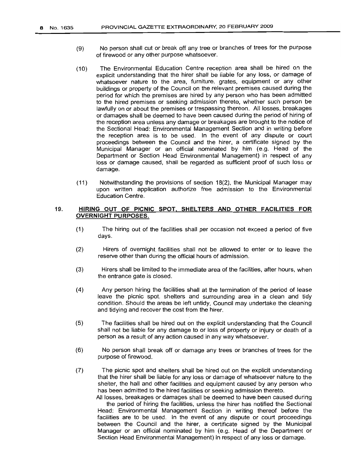- (9) No person shall cut or break off any tree or branches of trees for the purpose of firewood or any other purpose whatsoever.
- (10) The Environmental Education Centre reception area shall be hired on the explicit understanding that the hirer shall be liable for any loss, or damage of whatsoever nature to the area, furniture, grates, equipment or any other buildings or property of the Council on the relevant premises caused during the period for which the premises are hired by any person who has been admitted to the hired premises or seeking admission thereto, whether such person be lawfully on or about the premises or trespassing thereon. All losses, breakages or damages shall be deemed to have been caused during the period of hiring of the reception area unless any damage or breakages are brought to the notice of the Sectional Head: Environmental Management Section and in writing before the reception area is to be used. In the event of any dispute or court proceedings between the Council and the hirer, a certificate signed by the Municipal Manager or an official nominated by him (e.g. Head of the Department or Section Head Environmental Management) in respect of any loss or damage caused, shall be regarded as sufficient proof of such loss or damage.
- (11) Notwithstanding the provisions of section 18(2), the Municipal Manager may upon written application authorize free admission to the Environmental Education Centre.

## 19. **HIRING OUT OF PICNIC** SPOT, **SHELTERS AND OTHER FACILITIES FOR OVERNIGHT PURPOSES.**

- (1) The hiring out of the facilities shall per occasion not exceed a period of five days.
- (2) Hirers of overnight facilities shall not be allowed to enter or to leave the reserve other than during the official hours of admission.
- (3) Hirers shall be limited to the immediate area of the facilities, after hours, when the entrance gate is closed.
- (4) Any person hiring the facilities shall at the termination of the period of lease leave the picnic spot, shelters and surrounding area in a clean and tidy condition. Should the areas be left untidy, Council may undertake the cleaning and tidying and recover the cost from the hirer.
- (5) The facilities shall be hired out on the explicit understanding that the Council shall not be liable for any damage to or loss of property or injury or death of a person as a result of any action caused in any way whatsoever.
- (6) No person shall break off or damage any trees or branches of trees for the purpose of firewood.
- (7) The picnic spot and shelters shall be hired out on the explicit understanding that the hirer shall be liable for any loss or damage of whatsoever nature to the shelter, the hall and other facilities and equipment caused by any person who has been admitted to the hired facilities or seeking admission thereto.

All losses, breakages or damages shall be deemed to have been caused during the period of hiring the facilities, unless the hirer has notified the Sectional Head: Environmental Management Section in writing thereof before the facilities are to be used. In the event of any dispute or court proceedings between the Council and the hirer, a certificate signed by the Municipal Manager or an official nominated by him (e.g. Head of the Department or Section Head Environmental Management) in respect of any loss or damage.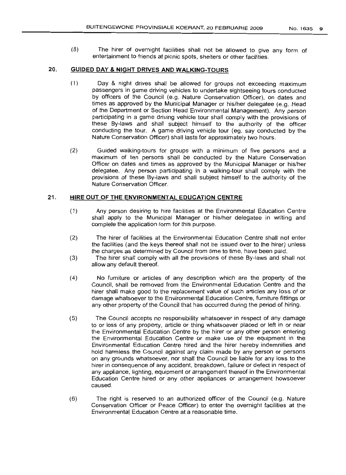(8) The hirer of overnight facilities shall not be allowed to give any form of entertainment to friends at picnic spots, shelters or other facilities.

# **20. GUIDED DAY &NIGHT DRIVES AND WALKING-TOURS**

- (1) Day & night drives shall be allowed for groups not exceeding maximum passengers in game driving vehicles to undertake sightseeing tours conducted by officers of the Council (e.g. Nature Conservation Officer), on dates and times as approved by the Municipal Manager or his/her delegatee (e.g. Head of the Department or Section Head Environmental Management). Any person participating in a game driving vehicle tour shall comply with the provisions of these By-laws and shall subject himself to the authority of the officer conducting the tour. A game driving vehicle tour (eg. say conducted by the Nature Conservation Officer) shall lasts for approximately two hours.
- (2) Guided walking-tours for groups with a minimum of five persons and a maximum of ten persons shall be conducted by the Nature Conservation Officer on dates and times as approved by the Municipal Manager or his/her delegatee. Any person participating in a walking-tour shall comply with the provisions of these By-laws and shall subject himself to the authority of the Nature Conservation Officer.

#### **21. HIRE OUT OF THE ENVIRONMENTAL EDUCATION CENTRE**

- (1) Any person desiring to hire facilities at the Environmental Education Centre shall apply to the Municipal Manager or his/her delegatee in writing and complete the application form for this purpose.
- (2) The hirer of facilities at the Environmental Education Centre shall not enter the facilities (and the keys thereof shall not be issued over to the hirer) unless the charges as determined by Council from time to time, have been paid.
- (3) The hirer shall comply with all the provisions of these By-laws and shall not allow any default thereof.
- (4) No furniture or articles of any description which are the property of the Council, shall be removed from the Environmental Education Centre and the hirer shall make good to the replacement value of such articles any loss of or damage whatsoever to the Environmental Education Centre, furniture fittings or any other property of the Council that has occurred during the period of hiring.
- (5) The Council accepts no responsibility whatsoever in respect of any damage to or loss of any property, article or thing whatsoever placed or left in or near the Environmental Education Centre by the hirer or any other person entering the Environmental Education Centre or make use of the equipment in the Environmental Education Centre hired and the hirer hereby indemnifies and hold harmless the Council against any claim made by any person or persons on any grounds whatsoever, nor shall the Council be liable for any loss to the hirer in consequence of any accident, breakdown, failure or defect in respect of any appliance, lighting, equipment or arrangement thereof in the Environmental Education Centre hired or any other appliances or arrangement howsoever caused.
- (6) The right is reserved to an authorized officer of the Council (e.g. Nature Conservation Officer or Peace Officer) to enter the overnight facilities at the Environmental Education Centre at a reasonable time.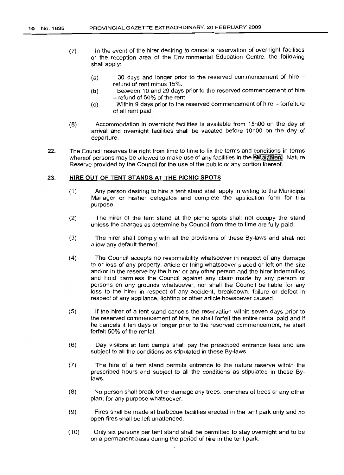- (7) In the event of the hirer desiring to cancel a reservation of overnight facilities or the reception area of the Environmental Education Centre, the following shall apply:
	- (a) 30 days and longer prior to the reserved commencement of hire refund of rent minus 15%.
	- (b) Between 10 and 29 days prior to the reserved commencement of hire  $-$  refund of 50% of the rent.
	- (c) Within 9 days prior to the reserved commencement of hire forfeiture of all rent paid.
- (8) Accommodation in overnight facilities is available from 15hOO on the day of arrival and overnight facilities shall be vacated before 10hOO on the day of departure.
- 22. The Council reserves the right from time to time to fix the terms and conditions in terms whereof persons may be allowed to make use of any facilities in the eMalameni Nature Reserve provided by the Council for the use of the public or any portion thereof.

#### 23. **HIRE OUT OF TENT STANDS AT THE PICNIC SPOTS**

- (1) Any person desiring to hire a tent stand shall apply in writing to the Municipal Manager or his/her delegatee and complete the application form for this purpose.
- (2) The hirer of the tent stand at the picnic spots shall not occupy the stand unless the charges as determine by Council from time to time are fully paid.
- (3) The hirer shall comply with all the provisions of these By-laws and shall not allow any default thereof.
- (4) The Council accepts no responsibility whatsoever in respect of any damage to or loss of any property, article or thing whatsoever placed or left on the site and/or in the reserve by the hirer or any other person and the hirer indemnifies and hold harmless the Council against any claim made by any person or persons on any grounds whatsoever, nor shall the Council be liable for any loss to the hirer in respect of any accident, breakdown, failure or defect in respect of any appliance, lighting or other article howsoever caused.
- (5) If the hirer of a tent stand cancels the reservation within seven days prior to the reserved commencement of hire, he shall forfeit the entire rental paid and if he cancels it ten days or longer prior to the reserved commencement, he shall forfeit 50% of the rental.
- (6) Day visitors at tent camps shall pay the prescribed entrance fees and are subject to all the conditions as stipulated in these By-laws.
- (7) The hire of a tent stand permits entrance to the nature reserve within the prescribed hours and subject to all the conditions as stipulated in these Bylaws.
- (8) No person shall break off or damage any trees, branches of trees or any other plant for any purpose whatsoever.
- (9) Fires shall be made at barbecue facilities erected in the tent park only and no open fires shall be left unattended.
- (10) Only six persons per tent stand shall be permitted to stay overnight and to be on a permanent basis during the period of hire in the tent park.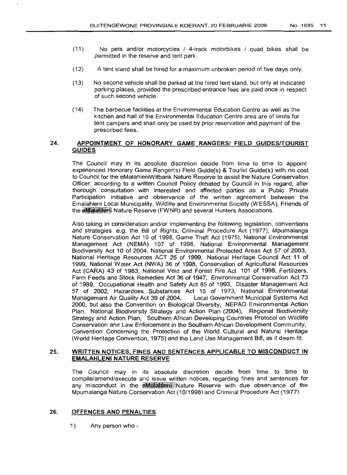- (11) No pets and/or motorcycles / 4-track motorbikes / quad bikes shall be permitted in the reserve and tent park.
- (12) A tent stand shall be hired for a maximum unbroken period of five days only.
- (13) No second vehicle shall be parked at the hired tent stand, but only at indicated parking places, provided the prescribed entrance fees are paid once in respect of such second vehicle.
- (14) The barbecue facilities at the Environmental Education Centre as well as the kitchen and hall of the Environmental Education Centre area are of limits for tent campers and shall only be used by prior reservation and payment of the prescribed fees.

## 24. **APPOINTMENT OF HONORARY GAME RANGERSI FIELD GUIDESrrOURIST GUIDES**

The Council may in its absolute discretion decide from time to time to appoint experienced Honorary Game Ranger(s) Field GUide(s) & Tourist GUide(s) with no cost to Council for the eMalahleniWitbank Nature Reserve to assist the Nature Conservation Officer, according to a written Council Policy debated by Council in this regard, after thorough consultation with interested and affected parties as a Pubic Private Participation initiative and observance of the written agreement between the Emalahleni Local Municipality, Wildlife and Environmental Society (WESSA), Friends of the **eMalahieni** Nature Reserve (FWNR) and several Hunters Associations.

Also taking in consideration and/or implementing the following legislation, conventions and strategies e.g. the Bill of Rights, Criminal Procedure Act (1977), Mpumalanga Nature Conservation Act 10 of 1998, Game Theft Act (1975), National Environmental Management Act (NEMA) 107 of 1998, National Environmental Management Biodlversity Act 10 of 2004, National Environmental Protected Areas Act 57 of 2003, National Heritage Resources ACT 25 of 1999, National Heritage Council Act 11 of 1999, National Water Act (NWA) 36 of 1998, Conservation of Agricultural Resources Act (CARA) 43 of 1983, National Veld and Forest Fire Act 101 of 1998, Fertilizers, Farm Feeds and Stock Remedies Act 36 of 1947, Environmental Conservation Act 73 of 1989, Occupational Health and Safety Act 85 of 1993, Disaster Management Act 57 of 2002, Hazardoes Substances Act 15 of 1973, National Environmental Management Air Quality Act 39 of 2004, Local Government Municipal Systems Act 2000, but also the Convention on Biological Diversity, NEPAD Environmental Action Plan, National Biodiversity Strategy and Action Plan (2004), Regional Biodiversity Strategy and Action Plan, Southern African Developing Countries Protocol on Wildlife Conservation and Law Enforcement in the Southern African Development Community, Convention Concerning the Protection of the World Cultural and Natural Heritage (World Heritage Convention, 1975) and the Land Use Management Bill, as it deem fit.

## 25. **WRITTEN NOTICES, FINES AND SENTENCES APPLICABLE TO MISCONDUCT IN EMALAHLENI NATURE RESERVE**

The Council may in its absolute discretion decide from time to time to compile/amend/execute and issue written notices, regarding fines and sentences for any misconduct in the **eMalahieni**. Nature Reserve with due observance of the Mpumalanga Nature Conservation Act (10/1998) and Criminal Procedure Act (1977).

#### 26. **OFFENCES AND PENALTIES**

1) Any person who -